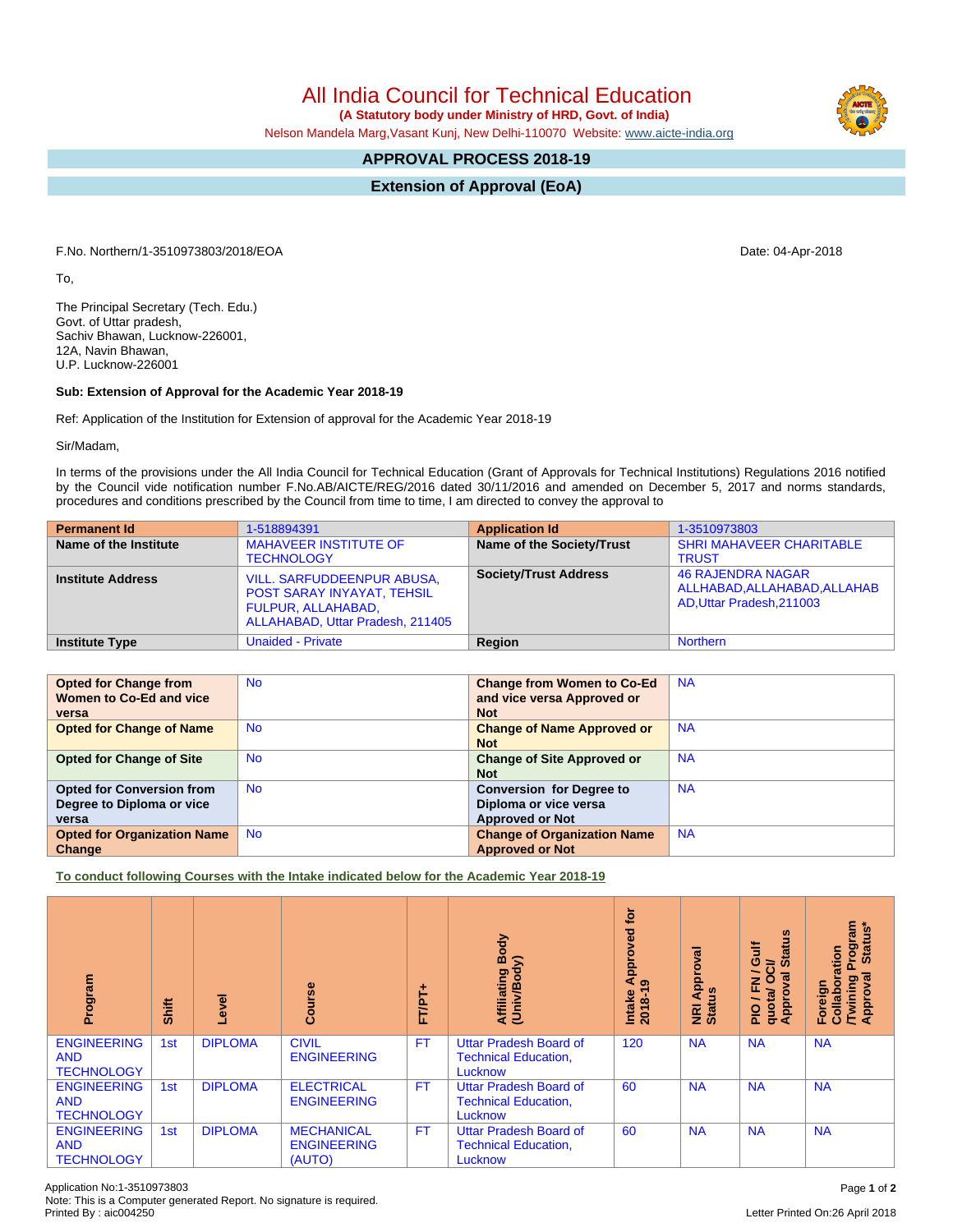Application No:1-3510973803 Page **1** of **2** Note: This is a Computer generated Report. No signature is required.

## All India Council for Technical Education

 **(A Statutory body under Ministry of HRD, Govt. of India)**

Nelson Mandela Marg,Vasant Kunj, New Delhi-110070 Website: www.aicte-india.org

## **APPROVAL PROCESS 2018-19**

**Extension of Approval (EoA)**

F.No. Northern/1-3510973803/2018/EOA Date: 04-Apr-2018

To,

The Principal Secretary (Tech. Edu.) Govt. of Uttar pradesh, Sachiv Bhawan, Lucknow-226001, 12A, Navin Bhawan, U.P. Lucknow-226001

## **Sub: Extension of Approval for the Academic Year 2018-19**

Ref: Application of the Institution for Extension of approval for the Academic Year 2018-19

Sir/Madam,

In terms of the provisions under the All India Council for Technical Education (Grant of Approvals for Technical Institutions) Regulations 2016 notified by the Council vide notification number F.No.AB/AICTE/REG/2016 dated 30/11/2016 and amended on December 5, 2017 and norms standards, procedures and conditions prescribed by the Council from time to time, I am directed to convey the approval to

| <b>Permanent Id</b>      | 1-518894391                                                                                                        | <b>Application Id</b>        | 1-3510973803                                                                          |
|--------------------------|--------------------------------------------------------------------------------------------------------------------|------------------------------|---------------------------------------------------------------------------------------|
| Name of the Institute    | <b>MAHAVEER INSTITUTE OF</b><br><b>TECHNOLOGY</b>                                                                  | Name of the Society/Trust    | <b>SHRI MAHAVEER CHARITABLE</b><br><b>TRUST</b>                                       |
| <b>Institute Address</b> | VILL. SARFUDDEENPUR ABUSA,<br>POST SARAY INYAYAT, TEHSIL<br>FULPUR, ALLAHABAD,<br>ALLAHABAD, Uttar Pradesh, 211405 | <b>Society/Trust Address</b> | <b>46 RAJENDRA NAGAR</b><br>ALLHABAD, ALLAHABAD, ALLAHAB<br>AD, Uttar Pradesh, 211003 |
| <b>Institute Type</b>    | <b>Unaided - Private</b>                                                                                           | Region                       | <b>Northern</b>                                                                       |

| <b>Opted for Change from</b><br>Women to Co-Ed and vice<br>versa       | <b>No</b> | <b>Change from Women to Co-Ed</b><br>and vice versa Approved or<br><b>Not</b>      | <b>NA</b> |
|------------------------------------------------------------------------|-----------|------------------------------------------------------------------------------------|-----------|
| <b>Opted for Change of Name</b>                                        | No.       | <b>Change of Name Approved or</b><br><b>Not</b>                                    | <b>NA</b> |
| <b>Opted for Change of Site</b>                                        | <b>No</b> | <b>Change of Site Approved or</b><br><b>Not</b>                                    | <b>NA</b> |
| <b>Opted for Conversion from</b><br>Degree to Diploma or vice<br>versa | <b>No</b> | <b>Conversion for Degree to</b><br>Diploma or vice versa<br><b>Approved or Not</b> | <b>NA</b> |
| <b>Opted for Organization Name</b><br>Change                           | <b>No</b> | <b>Change of Organization Name</b><br><b>Approved or Not</b>                       | <b>NA</b> |

**To conduct following Courses with the Intake indicated below for the Academic Year 2018-19**

| Program                                               | Shift | g<br>ق         | <b>Se</b><br>යි                                   | FT/PT+    | ody<br>Affiliating Book<br>(Univ/Body)                                  | <b>jo</b><br>ved<br>Approv<br>$\sigma$<br><b>Intake</b><br>2018-1 | $\overline{\overline{5}}$<br>Approv<br>NRI Ap<br>Status | S.<br>Gulf<br>ā<br>≃<br>$\boldsymbol{\omega}$<br>ပ္ပ<br>∽<br>œ<br>준<br>quotal<br><b>Appro</b><br>음 | Program<br>Status*<br>oration<br>हु<br>/Twining<br>Approval<br>Foreign<br>о<br>Collat |
|-------------------------------------------------------|-------|----------------|---------------------------------------------------|-----------|-------------------------------------------------------------------------|-------------------------------------------------------------------|---------------------------------------------------------|----------------------------------------------------------------------------------------------------|---------------------------------------------------------------------------------------|
| <b>ENGINEERING</b><br><b>AND</b><br><b>TECHNOLOGY</b> | 1st   | <b>DIPLOMA</b> | <b>CIVIL</b><br><b>ENGINEERING</b>                | <b>FT</b> | <b>Uttar Pradesh Board of</b><br><b>Technical Education,</b><br>Lucknow | 120                                                               | <b>NA</b>                                               | <b>NA</b>                                                                                          | <b>NA</b>                                                                             |
| <b>ENGINEERING</b><br><b>AND</b><br><b>TECHNOLOGY</b> | 1st   | <b>DIPLOMA</b> | <b>ELECTRICAL</b><br><b>ENGINEERING</b>           | <b>FT</b> | <b>Uttar Pradesh Board of</b><br><b>Technical Education,</b><br>Lucknow | 60                                                                | <b>NA</b>                                               | <b>NA</b>                                                                                          | <b>NA</b>                                                                             |
| <b>ENGINEERING</b><br><b>AND</b><br><b>TECHNOLOGY</b> | 1st   | <b>DIPLOMA</b> | <b>MECHANICAL</b><br><b>ENGINEERING</b><br>(AUTO) | <b>FT</b> | Uttar Pradesh Board of<br><b>Technical Education,</b><br>Lucknow        | 60                                                                | <b>NA</b>                                               | <b>NA</b>                                                                                          | <b>NA</b>                                                                             |